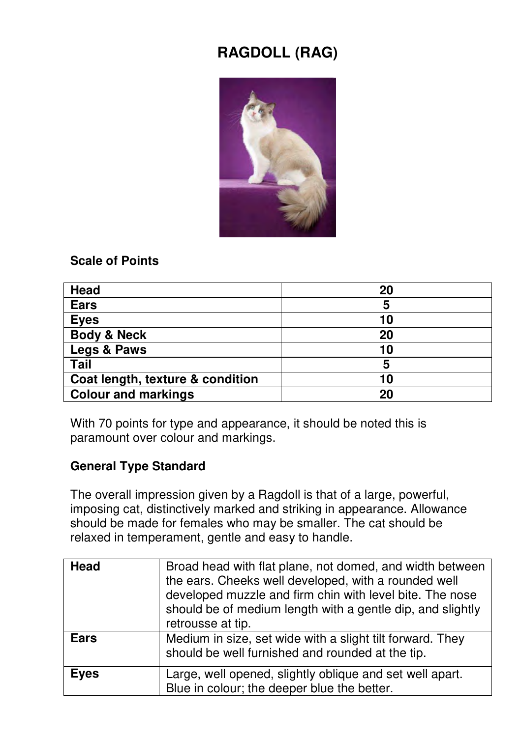# **RAGDOLL (RAG)**



#### **Scale of Points**

| Head                             | 20 |
|----------------------------------|----|
| <b>Ears</b>                      | 5  |
| <b>Eyes</b>                      | 10 |
| <b>Body &amp; Neck</b>           | 20 |
| Legs & Paws                      | 10 |
| Tail                             | 5  |
| Coat length, texture & condition | 10 |
| <b>Colour and markings</b>       | 20 |

With 70 points for type and appearance, it should be noted this is paramount over colour and markings.

### **General Type Standard**

The overall impression given by a Ragdoll is that of a large, powerful, imposing cat, distinctively marked and striking in appearance. Allowance should be made for females who may be smaller. The cat should be relaxed in temperament, gentle and easy to handle.

| Head        | Broad head with flat plane, not domed, and width between<br>the ears. Cheeks well developed, with a rounded well<br>developed muzzle and firm chin with level bite. The nose<br>should be of medium length with a gentle dip, and slightly<br>retrousse at tip. |
|-------------|-----------------------------------------------------------------------------------------------------------------------------------------------------------------------------------------------------------------------------------------------------------------|
| <b>Ears</b> | Medium in size, set wide with a slight tilt forward. They<br>should be well furnished and rounded at the tip.                                                                                                                                                   |
| <b>Eyes</b> | Large, well opened, slightly oblique and set well apart.<br>Blue in colour; the deeper blue the better.                                                                                                                                                         |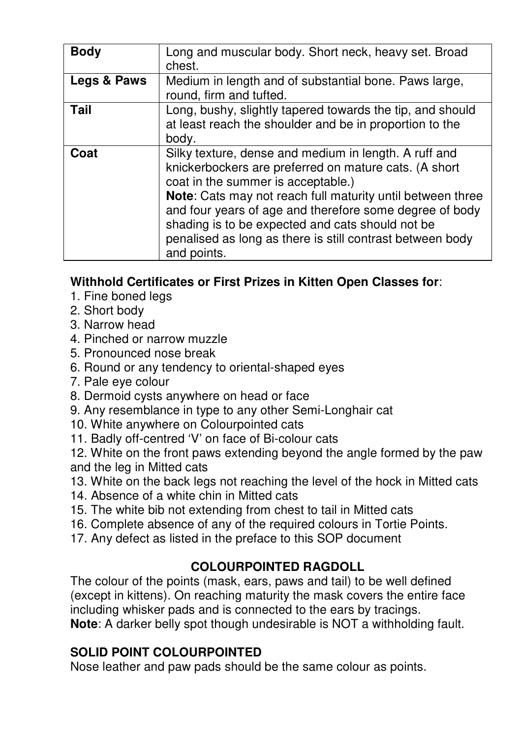| <b>Body</b> | Long and muscular body. Short neck, heavy set. Broad<br>chest.                                                                                                                                                                                                                                                                                                                                                |
|-------------|---------------------------------------------------------------------------------------------------------------------------------------------------------------------------------------------------------------------------------------------------------------------------------------------------------------------------------------------------------------------------------------------------------------|
| Legs & Paws | Medium in length and of substantial bone. Paws large,<br>round, firm and tufted.                                                                                                                                                                                                                                                                                                                              |
| Tail        | Long, bushy, slightly tapered towards the tip, and should<br>at least reach the shoulder and be in proportion to the<br>body.                                                                                                                                                                                                                                                                                 |
| Coat        | Silky texture, dense and medium in length. A ruff and<br>knickerbockers are preferred on mature cats. (A short<br>coat in the summer is acceptable.)<br>Note: Cats may not reach full maturity until between three<br>and four years of age and therefore some degree of body<br>shading is to be expected and cats should not be<br>penalised as long as there is still contrast between body<br>and points. |

## **Withhold Certificates or First Prizes in Kitten Open Classes for**:

- 1. Fine boned legs
- 2. Short body
- 3. Narrow head
- 4. Pinched or narrow muzzle
- 5. Pronounced nose break
- 6. Round or any tendency to oriental-shaped eyes
- 7. Pale eye colour
- 8. Dermoid cysts anywhere on head or face
- 9. Any resemblance in type to any other Semi-Longhair cat
- 10. White anywhere on Colourpointed cats
- 11. Badly off-centred 'V' on face of Bi-colour cats

12. White on the front paws extending beyond the angle formed by the paw and the leg in Mitted cats

- 13. White on the back legs not reaching the level of the hock in Mitted cats
- 14. Absence of a white chin in Mitted cats
- 15. The white bib not extending from chest to tail in Mitted cats
- 16. Complete absence of any of the required colours in Tortie Points.
- 17. Any defect as listed in the preface to this SOP document

## **COLOURPOINTED RAGDOLL**

The colour of the points (mask, ears, paws and tail) to be well defined (except in kittens). On reaching maturity the mask covers the entire face including whisker pads and is connected to the ears by tracings.

**Note**: A darker belly spot though undesirable is NOT a withholding fault.

## **SOLID POINT COLOURPOINTED**

Nose leather and paw pads should be the same colour as points.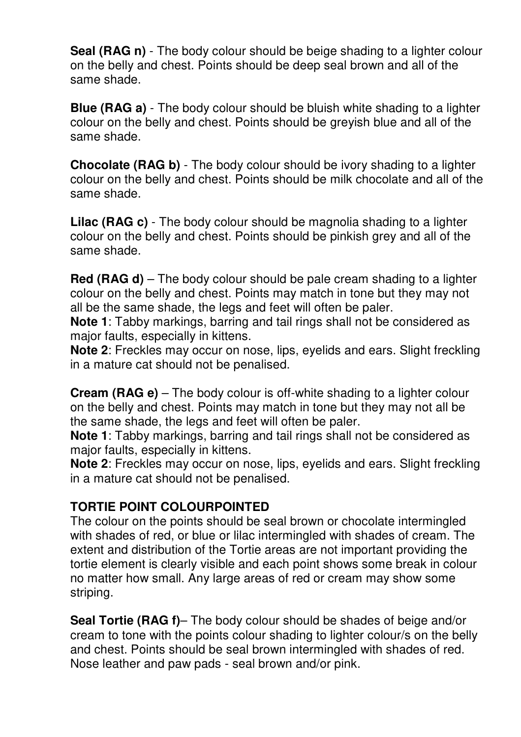**Seal (RAG n)** - The body colour should be beige shading to a lighter colour on the belly and chest. Points should be deep seal brown and all of the same shade.

**Blue (RAG a)** - The body colour should be bluish white shading to a lighter colour on the belly and chest. Points should be greyish blue and all of the same shade.

**Chocolate (RAG b)** - The body colour should be ivory shading to a lighter colour on the belly and chest. Points should be milk chocolate and all of the same shade.

**Lilac (RAG c)** - The body colour should be magnolia shading to a lighter colour on the belly and chest. Points should be pinkish grey and all of the same shade.

**Red (RAG d)** – The body colour should be pale cream shading to a lighter colour on the belly and chest. Points may match in tone but they may not all be the same shade, the legs and feet will often be paler.

**Note 1**: Tabby markings, barring and tail rings shall not be considered as major faults, especially in kittens.

**Note 2**: Freckles may occur on nose, lips, eyelids and ears. Slight freckling in a mature cat should not be penalised.

**Cream (RAG e)** – The body colour is off-white shading to a lighter colour on the belly and chest. Points may match in tone but they may not all be the same shade, the legs and feet will often be paler.

**Note 1**: Tabby markings, barring and tail rings shall not be considered as major faults, especially in kittens.

**Note 2**: Freckles may occur on nose, lips, eyelids and ears. Slight freckling in a mature cat should not be penalised.

## **TORTIE POINT COLOURPOINTED**

The colour on the points should be seal brown or chocolate intermingled with shades of red, or blue or lilac intermingled with shades of cream. The extent and distribution of the Tortie areas are not important providing the tortie element is clearly visible and each point shows some break in colour no matter how small. Any large areas of red or cream may show some striping.

**Seal Tortie (RAG f)**– The body colour should be shades of beige and/or cream to tone with the points colour shading to lighter colour/s on the belly and chest. Points should be seal brown intermingled with shades of red. Nose leather and paw pads - seal brown and/or pink.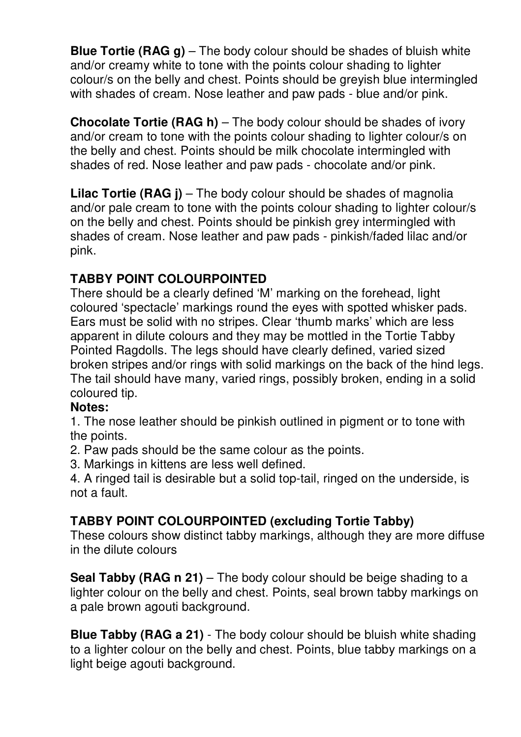**Blue Tortie (RAG g)** – The body colour should be shades of bluish white and/or creamy white to tone with the points colour shading to lighter colour/s on the belly and chest. Points should be greyish blue intermingled with shades of cream. Nose leather and paw pads - blue and/or pink.

**Chocolate Tortie (RAG h)** – The body colour should be shades of ivory and/or cream to tone with the points colour shading to lighter colour/s on the belly and chest. Points should be milk chocolate intermingled with shades of red. Nose leather and paw pads - chocolate and/or pink.

**Lilac Tortie (RAG j)** – The body colour should be shades of magnolia and/or pale cream to tone with the points colour shading to lighter colour/s on the belly and chest. Points should be pinkish grey intermingled with shades of cream. Nose leather and paw pads - pinkish/faded lilac and/or pink.

## **TABBY POINT COLOURPOINTED**

There should be a clearly defined 'M' marking on the forehead, light coloured 'spectacle' markings round the eyes with spotted whisker pads. Ears must be solid with no stripes. Clear 'thumb marks' which are less apparent in dilute colours and they may be mottled in the Tortie Tabby Pointed Ragdolls. The legs should have clearly defined, varied sized broken stripes and/or rings with solid markings on the back of the hind legs. The tail should have many, varied rings, possibly broken, ending in a solid coloured tip.

### **Notes:**

1. The nose leather should be pinkish outlined in pigment or to tone with the points.

2. Paw pads should be the same colour as the points.

3. Markings in kittens are less well defined.

4. A ringed tail is desirable but a solid top-tail, ringed on the underside, is not a fault.

## **TABBY POINT COLOURPOINTED (excluding Tortie Tabby)**

These colours show distinct tabby markings, although they are more diffuse in the dilute colours

**Seal Tabby (RAG n 21)** – The body colour should be beige shading to a lighter colour on the belly and chest. Points, seal brown tabby markings on a pale brown agouti background.

**Blue Tabby (RAG a 21)** - The body colour should be bluish white shading to a lighter colour on the belly and chest. Points, blue tabby markings on a light beige agouti background.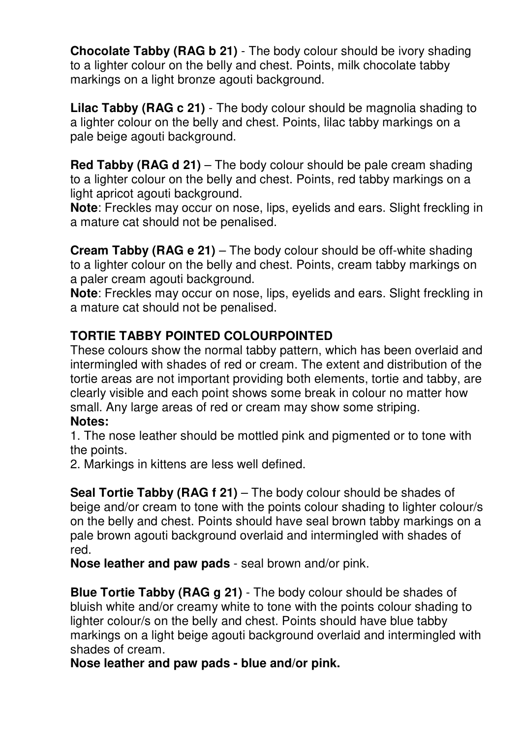**Chocolate Tabby (RAG b 21)** - The body colour should be ivory shading to a lighter colour on the belly and chest. Points, milk chocolate tabby markings on a light bronze agouti background.

**Lilac Tabby (RAG c 21)** - The body colour should be magnolia shading to a lighter colour on the belly and chest. Points, lilac tabby markings on a pale beige agouti background.

**Red Tabby (RAG d 21)** – The body colour should be pale cream shading to a lighter colour on the belly and chest. Points, red tabby markings on a light apricot agouti background.

**Note**: Freckles may occur on nose, lips, eyelids and ears. Slight freckling in a mature cat should not be penalised.

**Cream Tabby (RAG e 21)** – The body colour should be off-white shading to a lighter colour on the belly and chest. Points, cream tabby markings on a paler cream agouti background.

**Note**: Freckles may occur on nose, lips, eyelids and ears. Slight freckling in a mature cat should not be penalised.

## **TORTIE TABBY POINTED COLOURPOINTED**

These colours show the normal tabby pattern, which has been overlaid and intermingled with shades of red or cream. The extent and distribution of the tortie areas are not important providing both elements, tortie and tabby, are clearly visible and each point shows some break in colour no matter how small. Any large areas of red or cream may show some striping. **Notes:**

1. The nose leather should be mottled pink and pigmented or to tone with the points.

2. Markings in kittens are less well defined.

**Seal Tortie Tabby (RAG f 21)** – The body colour should be shades of beige and/or cream to tone with the points colour shading to lighter colour/s on the belly and chest. Points should have seal brown tabby markings on a pale brown agouti background overlaid and intermingled with shades of red.

**Nose leather and paw pads** - seal brown and/or pink.

**Blue Tortie Tabby (RAG g 21)** - The body colour should be shades of bluish white and/or creamy white to tone with the points colour shading to lighter colour/s on the belly and chest. Points should have blue tabby markings on a light beige agouti background overlaid and intermingled with shades of cream.

**Nose leather and paw pads - blue and/or pink.**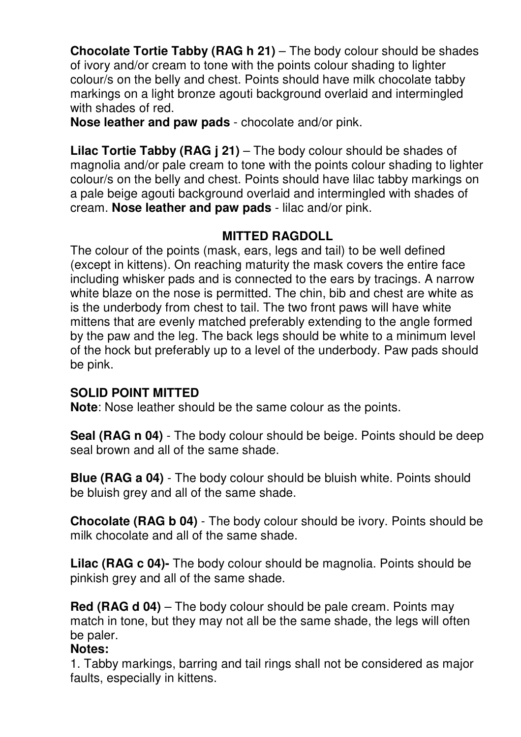**Chocolate Tortie Tabby (RAG h 21)** – The body colour should be shades of ivory and/or cream to tone with the points colour shading to lighter colour/s on the belly and chest. Points should have milk chocolate tabby markings on a light bronze agouti background overlaid and intermingled with shades of red.

**Nose leather and paw pads** - chocolate and/or pink.

**Lilac Tortie Tabby (RAG i 21)** – The body colour should be shades of magnolia and/or pale cream to tone with the points colour shading to lighter colour/s on the belly and chest. Points should have lilac tabby markings on a pale beige agouti background overlaid and intermingled with shades of cream. **Nose leather and paw pads** - lilac and/or pink.

## **MITTED RAGDOLL**

The colour of the points (mask, ears, legs and tail) to be well defined (except in kittens). On reaching maturity the mask covers the entire face including whisker pads and is connected to the ears by tracings. A narrow white blaze on the nose is permitted. The chin, bib and chest are white as is the underbody from chest to tail. The two front paws will have white mittens that are evenly matched preferably extending to the angle formed by the paw and the leg. The back legs should be white to a minimum level of the hock but preferably up to a level of the underbody. Paw pads should be pink.

### **SOLID POINT MITTED**

**Note**: Nose leather should be the same colour as the points.

**Seal (RAG n 04)** - The body colour should be beige. Points should be deep seal brown and all of the same shade.

**Blue (RAG a 04)** - The body colour should be bluish white. Points should be bluish grey and all of the same shade.

**Chocolate (RAG b 04)** - The body colour should be ivory. Points should be milk chocolate and all of the same shade.

**Lilac (RAG c 04)-** The body colour should be magnolia. Points should be pinkish grey and all of the same shade.

**Red (RAG d 04)** – The body colour should be pale cream. Points may match in tone, but they may not all be the same shade, the legs will often be paler.

### **Notes:**

1. Tabby markings, barring and tail rings shall not be considered as major faults, especially in kittens.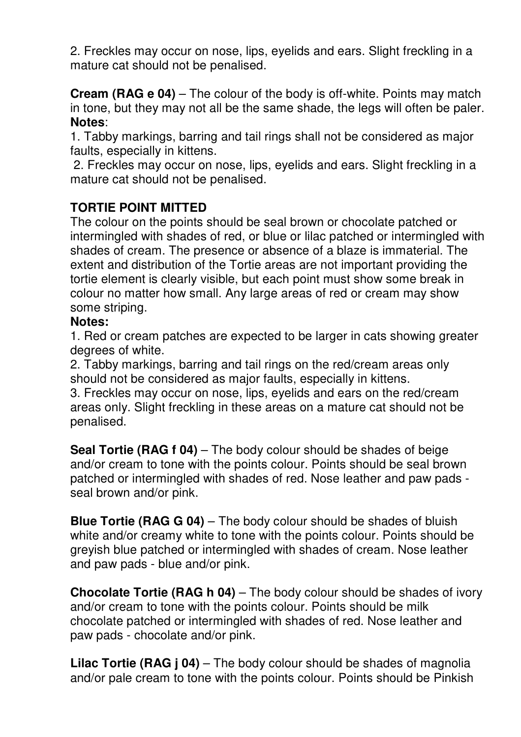2. Freckles may occur on nose, lips, eyelids and ears. Slight freckling in a mature cat should not be penalised.

**Cream (RAG e 04)** – The colour of the body is off-white. Points may match in tone, but they may not all be the same shade, the legs will often be paler. **Notes**:

1. Tabby markings, barring and tail rings shall not be considered as major faults, especially in kittens.

 2. Freckles may occur on nose, lips, eyelids and ears. Slight freckling in a mature cat should not be penalised.

## **TORTIE POINT MITTED**

The colour on the points should be seal brown or chocolate patched or intermingled with shades of red, or blue or lilac patched or intermingled with shades of cream. The presence or absence of a blaze is immaterial. The extent and distribution of the Tortie areas are not important providing the tortie element is clearly visible, but each point must show some break in colour no matter how small. Any large areas of red or cream may show some striping.

#### **Notes:**

1. Red or cream patches are expected to be larger in cats showing greater degrees of white.

2. Tabby markings, barring and tail rings on the red/cream areas only should not be considered as major faults, especially in kittens.

3. Freckles may occur on nose, lips, eyelids and ears on the red/cream areas only. Slight freckling in these areas on a mature cat should not be penalised.

**Seal Tortie (RAG f 04)** – The body colour should be shades of beige and/or cream to tone with the points colour. Points should be seal brown patched or intermingled with shades of red. Nose leather and paw pads seal brown and/or pink.

**Blue Tortie (RAG G 04)** – The body colour should be shades of bluish white and/or creamy white to tone with the points colour. Points should be greyish blue patched or intermingled with shades of cream. Nose leather and paw pads - blue and/or pink.

**Chocolate Tortie (RAG h 04)** – The body colour should be shades of ivory and/or cream to tone with the points colour. Points should be milk chocolate patched or intermingled with shades of red. Nose leather and paw pads - chocolate and/or pink.

**Lilac Tortie (RAG j 04)** – The body colour should be shades of magnolia and/or pale cream to tone with the points colour. Points should be Pinkish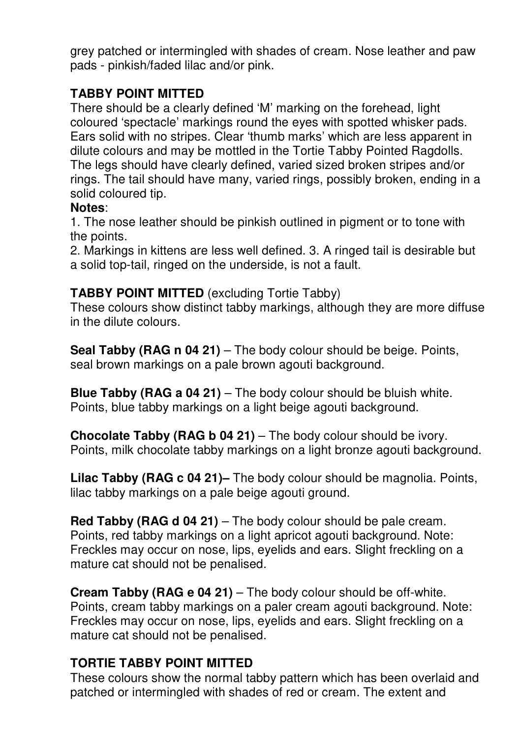grey patched or intermingled with shades of cream. Nose leather and paw pads - pinkish/faded lilac and/or pink.

## **TABBY POINT MITTED**

There should be a clearly defined 'M' marking on the forehead, light coloured 'spectacle' markings round the eyes with spotted whisker pads. Ears solid with no stripes. Clear 'thumb marks' which are less apparent in dilute colours and may be mottled in the Tortie Tabby Pointed Ragdolls. The legs should have clearly defined, varied sized broken stripes and/or rings. The tail should have many, varied rings, possibly broken, ending in a solid coloured tip.

#### **Notes**:

1. The nose leather should be pinkish outlined in pigment or to tone with the points.

2. Markings in kittens are less well defined. 3. A ringed tail is desirable but a solid top-tail, ringed on the underside, is not a fault.

## **TABBY POINT MITTED** (excluding Tortie Tabby)

These colours show distinct tabby markings, although they are more diffuse in the dilute colours.

**Seal Tabby (RAG n 04 21)** – The body colour should be beige. Points, seal brown markings on a pale brown agouti background.

**Blue Tabby (RAG a 04 21)** – The body colour should be bluish white. Points, blue tabby markings on a light beige agouti background.

**Chocolate Tabby (RAG b 04 21)** – The body colour should be ivory. Points, milk chocolate tabby markings on a light bronze agouti background.

**Lilac Tabby (RAG c 04 21)–** The body colour should be magnolia. Points, lilac tabby markings on a pale beige agouti ground.

**Red Tabby (RAG d 04 21)** – The body colour should be pale cream. Points, red tabby markings on a light apricot agouti background. Note: Freckles may occur on nose, lips, eyelids and ears. Slight freckling on a mature cat should not be penalised.

**Cream Tabby (RAG e 04 21)** – The body colour should be off-white. Points, cream tabby markings on a paler cream agouti background. Note: Freckles may occur on nose, lips, eyelids and ears. Slight freckling on a mature cat should not be penalised.

### **TORTIE TABBY POINT MITTED**

These colours show the normal tabby pattern which has been overlaid and patched or intermingled with shades of red or cream. The extent and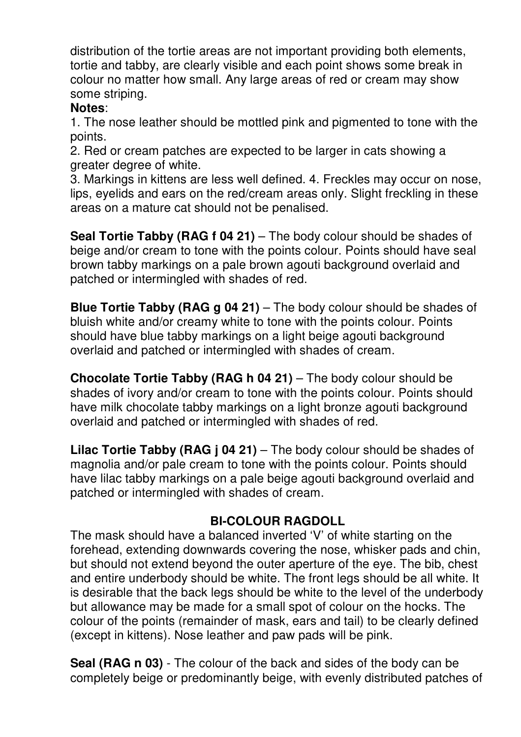distribution of the tortie areas are not important providing both elements, tortie and tabby, are clearly visible and each point shows some break in colour no matter how small. Any large areas of red or cream may show some striping.

#### **Notes**:

1. The nose leather should be mottled pink and pigmented to tone with the points.

2. Red or cream patches are expected to be larger in cats showing a greater degree of white.

3. Markings in kittens are less well defined. 4. Freckles may occur on nose, lips, eyelids and ears on the red/cream areas only. Slight freckling in these areas on a mature cat should not be penalised.

**Seal Tortie Tabby (RAG f 04 21)** – The body colour should be shades of beige and/or cream to tone with the points colour. Points should have seal brown tabby markings on a pale brown agouti background overlaid and patched or intermingled with shades of red.

**Blue Tortie Tabby (RAG g 04 21)** – The body colour should be shades of bluish white and/or creamy white to tone with the points colour. Points should have blue tabby markings on a light beige agouti background overlaid and patched or intermingled with shades of cream.

**Chocolate Tortie Tabby (RAG h 04 21)** – The body colour should be shades of ivory and/or cream to tone with the points colour. Points should have milk chocolate tabby markings on a light bronze agouti background overlaid and patched or intermingled with shades of red.

**Lilac Tortie Tabby (RAG j 04 21)** – The body colour should be shades of magnolia and/or pale cream to tone with the points colour. Points should have lilac tabby markings on a pale beige agouti background overlaid and patched or intermingled with shades of cream.

## **BI-COLOUR RAGDOLL**

The mask should have a balanced inverted 'V' of white starting on the forehead, extending downwards covering the nose, whisker pads and chin, but should not extend beyond the outer aperture of the eye. The bib, chest and entire underbody should be white. The front legs should be all white. It is desirable that the back legs should be white to the level of the underbody but allowance may be made for a small spot of colour on the hocks. The colour of the points (remainder of mask, ears and tail) to be clearly defined (except in kittens). Nose leather and paw pads will be pink.

**Seal (RAG n 03)** - The colour of the back and sides of the body can be completely beige or predominantly beige, with evenly distributed patches of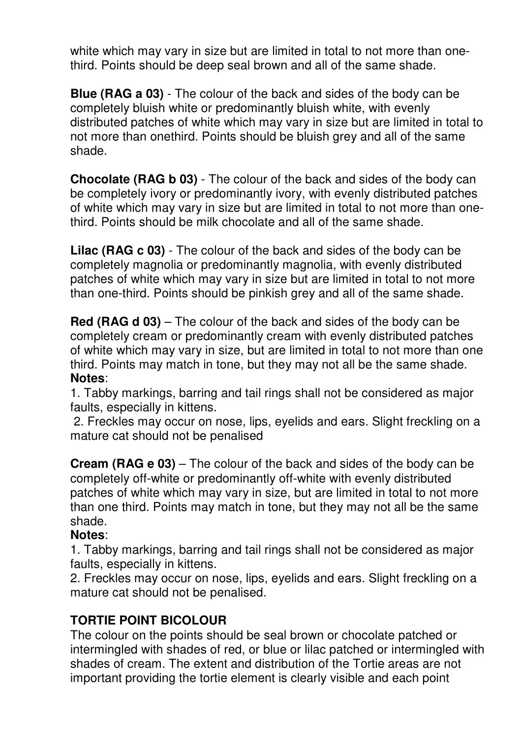white which may vary in size but are limited in total to not more than onethird. Points should be deep seal brown and all of the same shade.

**Blue (RAG a 03)** - The colour of the back and sides of the body can be completely bluish white or predominantly bluish white, with evenly distributed patches of white which may vary in size but are limited in total to not more than onethird. Points should be bluish grey and all of the same shade.

**Chocolate (RAG b 03)** - The colour of the back and sides of the body can be completely ivory or predominantly ivory, with evenly distributed patches of white which may vary in size but are limited in total to not more than onethird. Points should be milk chocolate and all of the same shade.

**Lilac (RAG c 03)** - The colour of the back and sides of the body can be completely magnolia or predominantly magnolia, with evenly distributed patches of white which may vary in size but are limited in total to not more than one-third. Points should be pinkish grey and all of the same shade.

**Red (RAG d 03)** – The colour of the back and sides of the body can be completely cream or predominantly cream with evenly distributed patches of white which may vary in size, but are limited in total to not more than one third. Points may match in tone, but they may not all be the same shade. **Notes**:

1. Tabby markings, barring and tail rings shall not be considered as major faults, especially in kittens.

 2. Freckles may occur on nose, lips, eyelids and ears. Slight freckling on a mature cat should not be penalised

**Cream (RAG e 03)** – The colour of the back and sides of the body can be completely off-white or predominantly off-white with evenly distributed patches of white which may vary in size, but are limited in total to not more than one third. Points may match in tone, but they may not all be the same shade.

## **Notes**:

1. Tabby markings, barring and tail rings shall not be considered as major faults, especially in kittens.

2. Freckles may occur on nose, lips, eyelids and ears. Slight freckling on a mature cat should not be penalised.

## **TORTIE POINT BICOLOUR**

The colour on the points should be seal brown or chocolate patched or intermingled with shades of red, or blue or lilac patched or intermingled with shades of cream. The extent and distribution of the Tortie areas are not important providing the tortie element is clearly visible and each point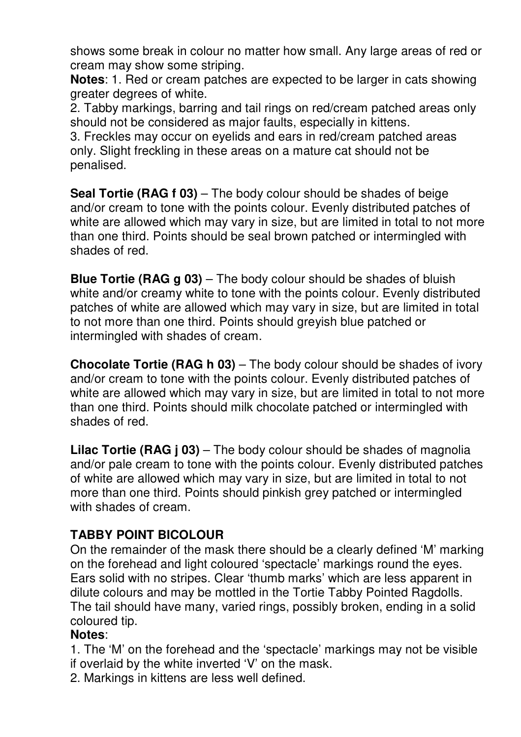shows some break in colour no matter how small. Any large areas of red or cream may show some striping.

**Notes**: 1. Red or cream patches are expected to be larger in cats showing greater degrees of white.

2. Tabby markings, barring and tail rings on red/cream patched areas only should not be considered as major faults, especially in kittens.

3. Freckles may occur on eyelids and ears in red/cream patched areas only. Slight freckling in these areas on a mature cat should not be penalised.

**Seal Tortie (RAG f 03)** – The body colour should be shades of beige and/or cream to tone with the points colour. Evenly distributed patches of white are allowed which may vary in size, but are limited in total to not more than one third. Points should be seal brown patched or intermingled with shades of red.

**Blue Tortie (RAG g 03)** – The body colour should be shades of bluish white and/or creamy white to tone with the points colour. Evenly distributed patches of white are allowed which may vary in size, but are limited in total to not more than one third. Points should greyish blue patched or intermingled with shades of cream.

**Chocolate Tortie (RAG h 03)** – The body colour should be shades of ivory and/or cream to tone with the points colour. Evenly distributed patches of white are allowed which may vary in size, but are limited in total to not more than one third. Points should milk chocolate patched or intermingled with shades of red.

**Lilac Tortie (RAG j 03)** – The body colour should be shades of magnolia and/or pale cream to tone with the points colour. Evenly distributed patches of white are allowed which may vary in size, but are limited in total to not more than one third. Points should pinkish grey patched or intermingled with shades of cream.

## **TABBY POINT BICOLOUR**

On the remainder of the mask there should be a clearly defined 'M' marking on the forehead and light coloured 'spectacle' markings round the eyes. Ears solid with no stripes. Clear 'thumb marks' which are less apparent in dilute colours and may be mottled in the Tortie Tabby Pointed Ragdolls. The tail should have many, varied rings, possibly broken, ending in a solid coloured tip.

### **Notes**:

1. The 'M' on the forehead and the 'spectacle' markings may not be visible if overlaid by the white inverted 'V' on the mask.

2. Markings in kittens are less well defined.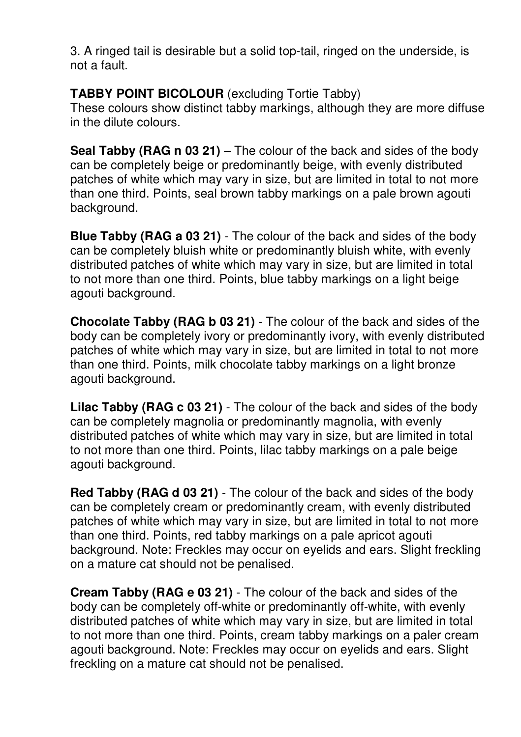3. A ringed tail is desirable but a solid top-tail, ringed on the underside, is not a fault.

### **TABBY POINT BICOLOUR** (excluding Tortie Tabby)

These colours show distinct tabby markings, although they are more diffuse in the dilute colours.

**Seal Tabby (RAG n 03 21)** – The colour of the back and sides of the body can be completely beige or predominantly beige, with evenly distributed patches of white which may vary in size, but are limited in total to not more than one third. Points, seal brown tabby markings on a pale brown agouti background.

**Blue Tabby (RAG a 03 21)** - The colour of the back and sides of the body can be completely bluish white or predominantly bluish white, with evenly distributed patches of white which may vary in size, but are limited in total to not more than one third. Points, blue tabby markings on a light beige agouti background.

**Chocolate Tabby (RAG b 03 21)** - The colour of the back and sides of the body can be completely ivory or predominantly ivory, with evenly distributed patches of white which may vary in size, but are limited in total to not more than one third. Points, milk chocolate tabby markings on a light bronze agouti background.

**Lilac Tabby (RAG c 03 21)** - The colour of the back and sides of the body can be completely magnolia or predominantly magnolia, with evenly distributed patches of white which may vary in size, but are limited in total to not more than one third. Points, lilac tabby markings on a pale beige agouti background.

**Red Tabby (RAG d 03 21)** - The colour of the back and sides of the body can be completely cream or predominantly cream, with evenly distributed patches of white which may vary in size, but are limited in total to not more than one third. Points, red tabby markings on a pale apricot agouti background. Note: Freckles may occur on eyelids and ears. Slight freckling on a mature cat should not be penalised.

**Cream Tabby (RAG e 03 21)** - The colour of the back and sides of the body can be completely off-white or predominantly off-white, with evenly distributed patches of white which may vary in size, but are limited in total to not more than one third. Points, cream tabby markings on a paler cream agouti background. Note: Freckles may occur on eyelids and ears. Slight freckling on a mature cat should not be penalised.